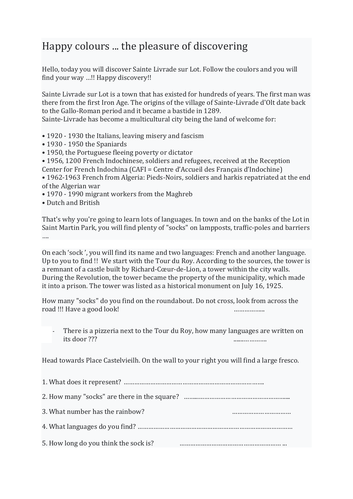## Happy colours ... the pleasure of discovering

Hello, today you will discover Sainte Livrade sur Lot. Follow the coulors and you will find your way ...!! Happy discovery!!

Sainte Livrade sur Lot is a town that has existed for hundreds of years. The first man was there from the first Iron Age. The origins of the village of Sainte-Livrade d'Olt date back to the Gallo-Roman period and it became a bastide in 1289.

Sainte-Livrade has become a multicultural city being the land of welcome for:

- 1920 1930 the Italians, leaving misery and fascism
- 1930 1950 the Spaniards
- 1950, the Portuguese fleeing poverty or dictator
- 1956, 1200 French Indochinese, soldiers and refugees, received at the Reception
- Center for French Indochina  $(CAFI = Centre d'Accueil des Français d'Indochine)$
- 1962-1963 French from Algeria: Pieds-Noirs, soldiers and harkis repatriated at the end of the Algerian war
- 1970 1990 migrant workers from the Maghreb
- Dutch and British

That's why you're going to learn lots of languages. In town and on the banks of the Lot in Saint Martin Park, you will find plenty of "socks" on lampposts, traffic-poles and barriers ….

On each 'sock', you will find its name and two languages: French and another language. Up to you to find!! We start with the Tour du Roy. According to the sources, the tower is a remnant of a castle built by Richard-Cœur-de-Lion, a tower within the city walls. During the Revolution, the tower became the property of the municipality, which made it into a prison. The tower was listed as a historical monument on July 16, 1925.

How many "socks" do you find on the roundabout. Do not cross, look from across the road !!! Have a good look!

There is a pizzeria next to the Tour du Roy, how many languages are written on  $its door ???$ 

Head towards Place Castelvieilh. On the wall to your right you will find a large fresco.

| 3. What number has the rainbow?       |  |
|---------------------------------------|--|
|                                       |  |
| 5. How long do you think the sock is? |  |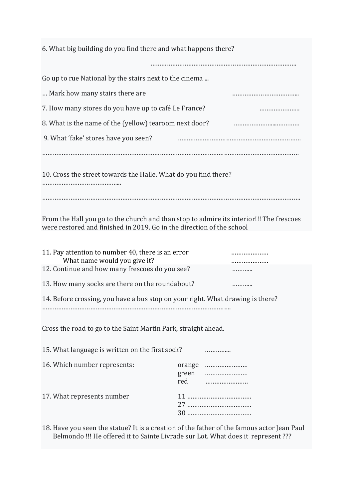| 6. What big building do you find there and what happens there?                                                                                                   |              |            |
|------------------------------------------------------------------------------------------------------------------------------------------------------------------|--------------|------------|
|                                                                                                                                                                  |              |            |
| Go up to rue National by the stairs next to the cinema                                                                                                           |              |            |
| Mark how many stairs there are                                                                                                                                   |              |            |
| 7. How many stores do you have up to café Le France?                                                                                                             |              |            |
| 8. What is the name of the (yellow) tearoom next door?                                                                                                           |              |            |
| 9. What 'fake' stores have you seen?                                                                                                                             |              |            |
| 10. Cross the street towards the Halle. What do you find there?                                                                                                  |              |            |
| From the Hall you go to the church and than stop to admire its interior!!! The frescoes<br>were restored and finished in 2019. Go in the direction of the school |              |            |
| 11. Pay attention to number 40, there is an error<br>What name would you give it?<br>12. Continue and how many frescoes do you see?                              |              |            |
| 13. How many socks are there on the roundabout?                                                                                                                  |              |            |
| 14. Before crossing, you have a bus stop on your right. What drawing is there?                                                                                   |              |            |
| Cross the road to go to the Saint Martin Park, straight ahead.                                                                                                   |              |            |
| 15. What language is written on the first sock?                                                                                                                  |              | .          |
| 16. Which number represents:                                                                                                                                     | green<br>red | orange<br> |
| 17. What represents number                                                                                                                                       |              |            |

18. Have you seen the statue? It is a creation of the father of the famous actor Jean Paul Belmondo !!! He offered it to Sainte Livrade sur Lot. What does it represent ???